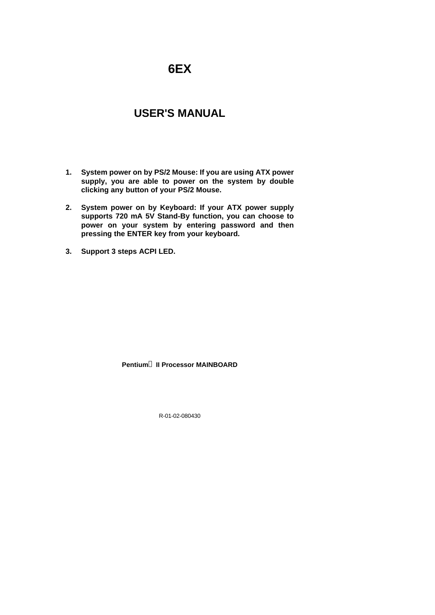# **6EX**

## **USER'S MANUAL**

- **1. System power on by PS/2 Mouse: If you are using ATX power supply, you are able to power on the system by double clicking any button of your PS/2 Mouse.**
- **2. System power on by Keyboard: If your ATX power supply supports 720 mA 5V Stand-By function, you can choose to power on your system by entering password and then pressing the ENTER key from your keyboard.**
- **3. Support 3 steps ACPI LED.**

#### **Pentiumâ II Processor MAINBOARD**

R-01-02-080430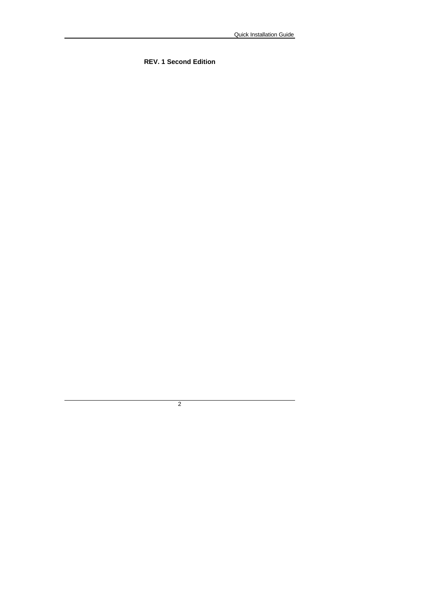**REV. 1 Second Edition**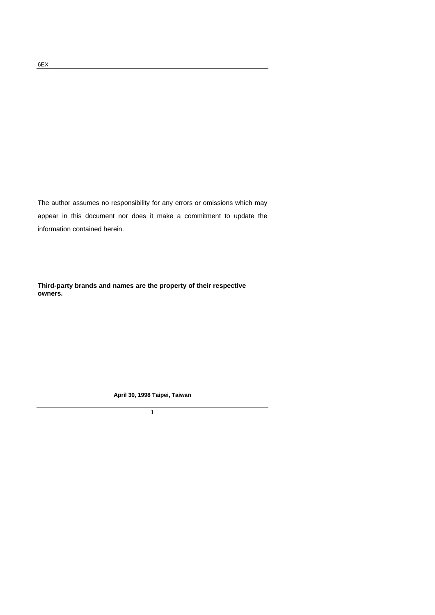The author assumes no responsibility for any errors or omissions which may appear in this document nor does it make a commitment to update the information contained herein.

**Third-party brands and names are the property of their respective owners.**

**April 30, 1998 Taipei, Taiwan**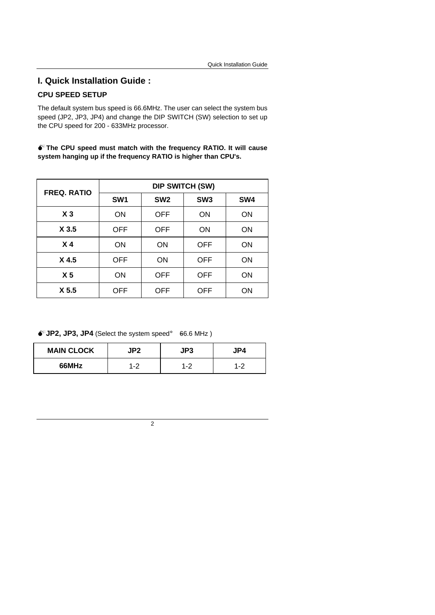## **CPU SPEED SETUP**

The default system bus speed is 66.6MHz. The user can select the system bus speed (JP2, JP3, JP4) and change the DIP SWITCH (SW) selection to set up the CPU speed for 200 - 633MHz processor.

 $\bullet$ <sup>\*</sup> The CPU speed must match with the frequency RATIO. It will cause **system hanging up if the frequency RATIO is higher than CPU's.**

| <b>FREQ. RATIO</b> | <b>DIP SWITCH (SW)</b> |                 |                 |           |  |
|--------------------|------------------------|-----------------|-----------------|-----------|--|
|                    | SW <sub>1</sub>        | SW <sub>2</sub> | SW <sub>3</sub> | SW4       |  |
| X <sub>3</sub>     | ON                     | <b>OFF</b>      | ON              | <b>ON</b> |  |
| X <sub>3.5</sub>   | OFF                    | <b>OFF</b>      | ON              | ON        |  |
| X <sub>4</sub>     | ON                     | <b>ON</b>       | <b>OFF</b>      | ON        |  |
| X <sub>4.5</sub>   | OFF                    | ON              | <b>OFF</b>      | ON        |  |
| X <sub>5</sub>     | ON                     | <b>OFF</b>      | <b>OFF</b>      | ON        |  |
| X <sub>5.5</sub>   | OFF                    | <b>OFF</b>      | <b>OFF</b>      | ΟN        |  |

 $\bullet^*$ **JP2, JP3, JP4** (Select the system speed; 66.6 MHz)

| <b>MAIN CLOCK</b> | P?    | JP3   |     |
|-------------------|-------|-------|-----|
| 66MHz             | . - 2 | . . 2 | 1-2 |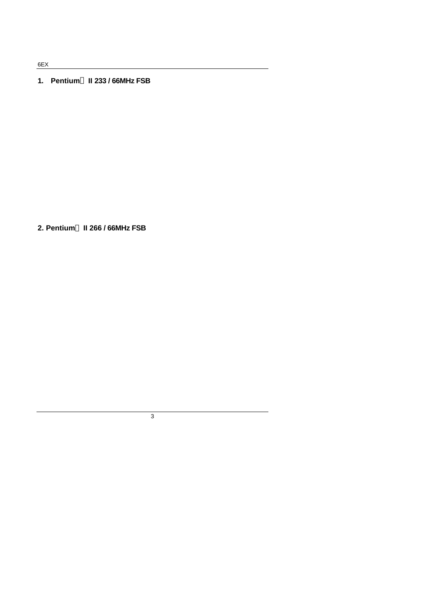6EX

#### **1. Pentiumâ II 233 / 66MHz FSB**

**2. Pentiumâ II 266 / 66MHz FSB**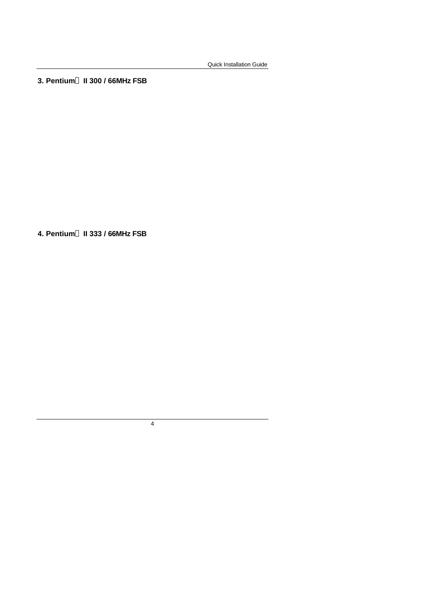**3. Pentiumâ II 300 / 66MHz FSB**

**4. Pentiumâ II 333 / 66MHz FSB**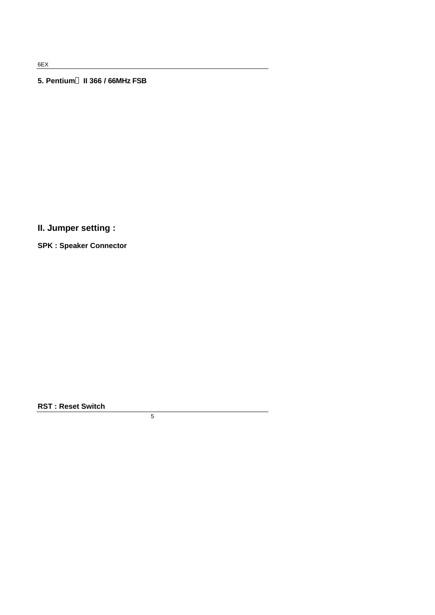6EX

#### **5. Pentiumâ II 366 / 66MHz FSB**

**II. Jumper setting :**

**SPK : Speaker Connector**

**RST : Reset Switch**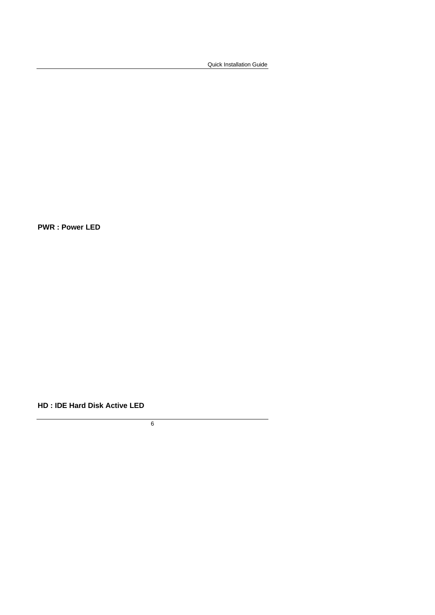**PWR : Power LED**

**HD : IDE Hard Disk Active LED**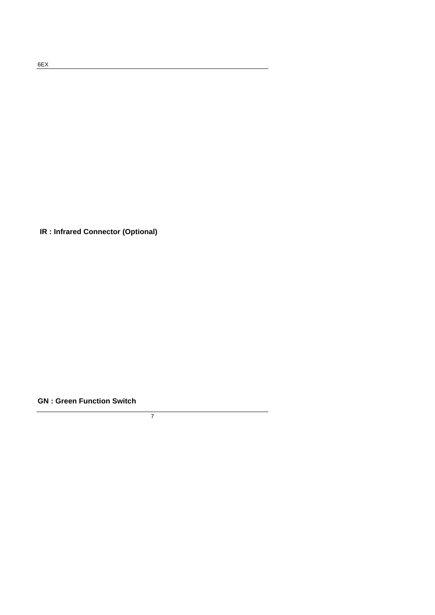**IR : Infrared Connector (Optional)**

**GN : Green Function Switch**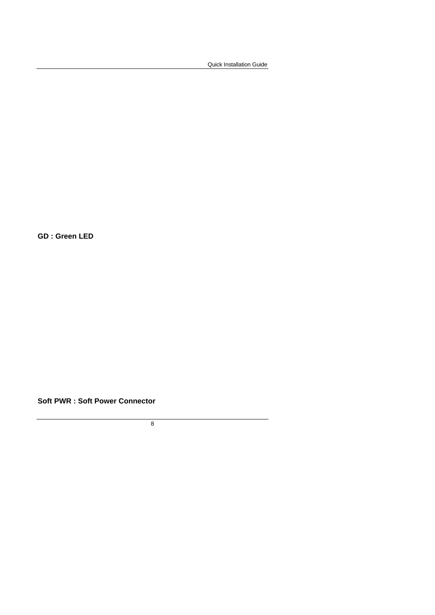**GD : Green LED**

**Soft PWR : Soft Power Connector**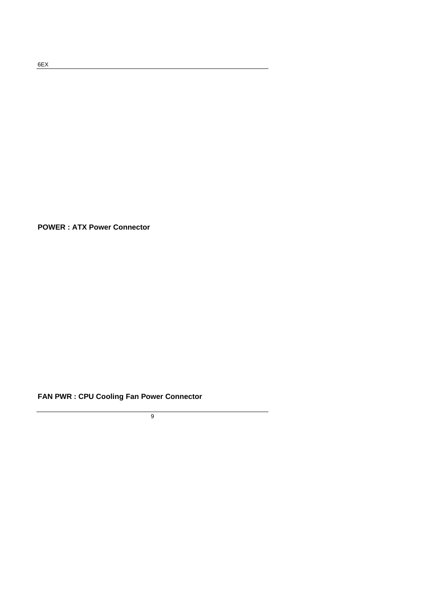**POWER : ATX Power Connector**

## **FAN PWR : CPU Cooling Fan Power Connector**

9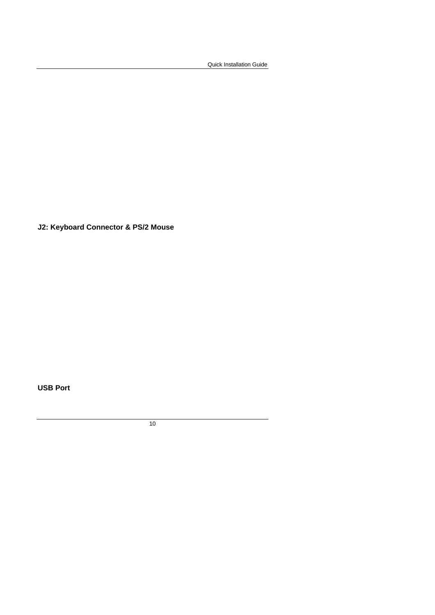**J2: Keyboard Connector & PS/2 Mouse**

**USB Port**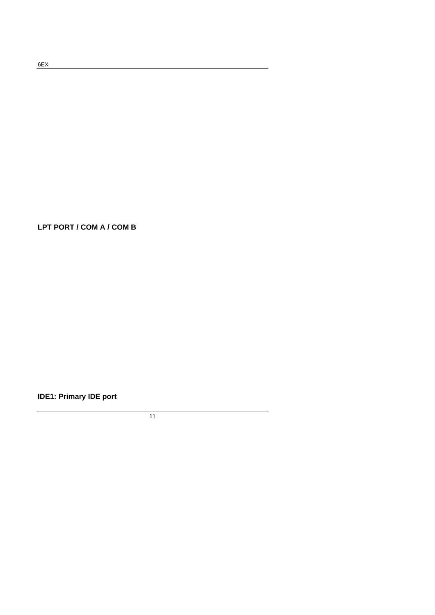**LPT PORT / COM A / COM B**

**IDE1: Primary IDE port**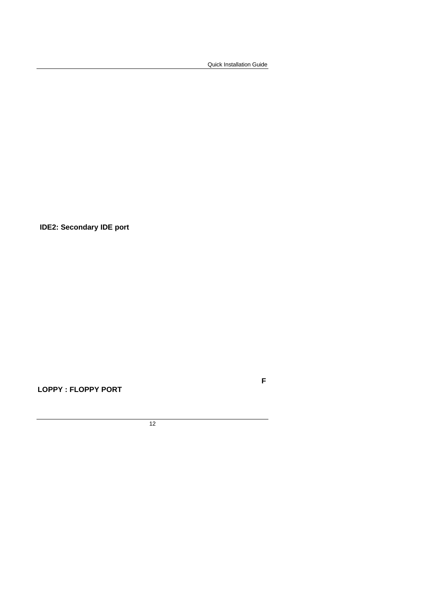**F**

 **IDE2: Secondary IDE port**

**LOPPY : FLOPPY PORT**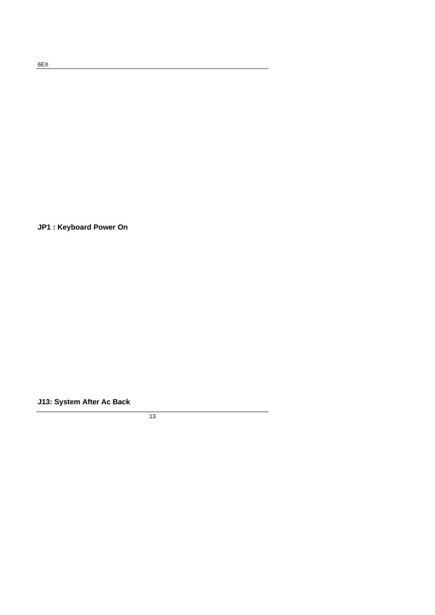**JP1 : Keyboard Power On**

**J13: System After Ac Back**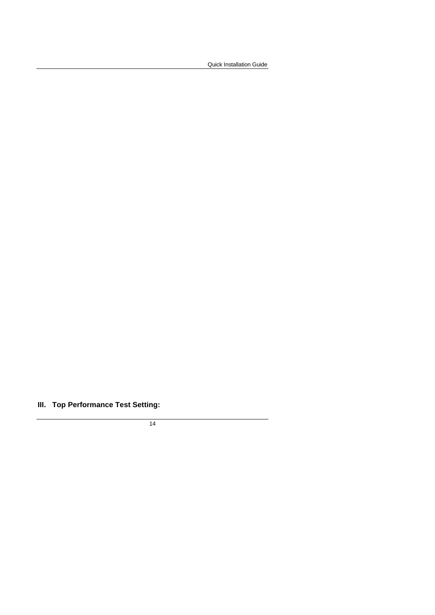## **III. Top Performance Test Setting:**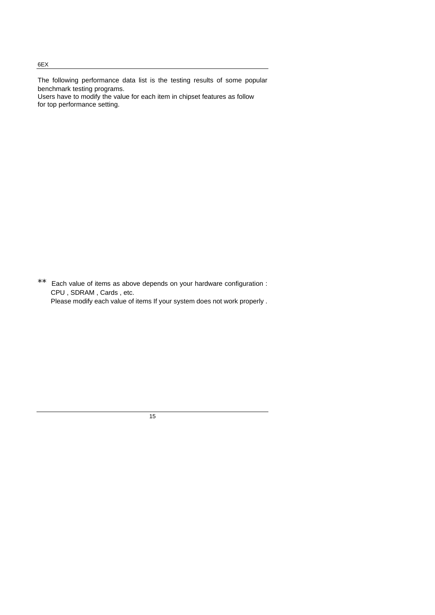The following performance data list is the testing results of some popular benchmark testing programs. Users have to modify the value for each item in chipset features as follow for top performance setting.

\*\* Each value of items as above depends on your hardware configuration : CPU , SDRAM , Cards , etc. Please modify each value of items If your system does not work properly .

15

#### 6EX